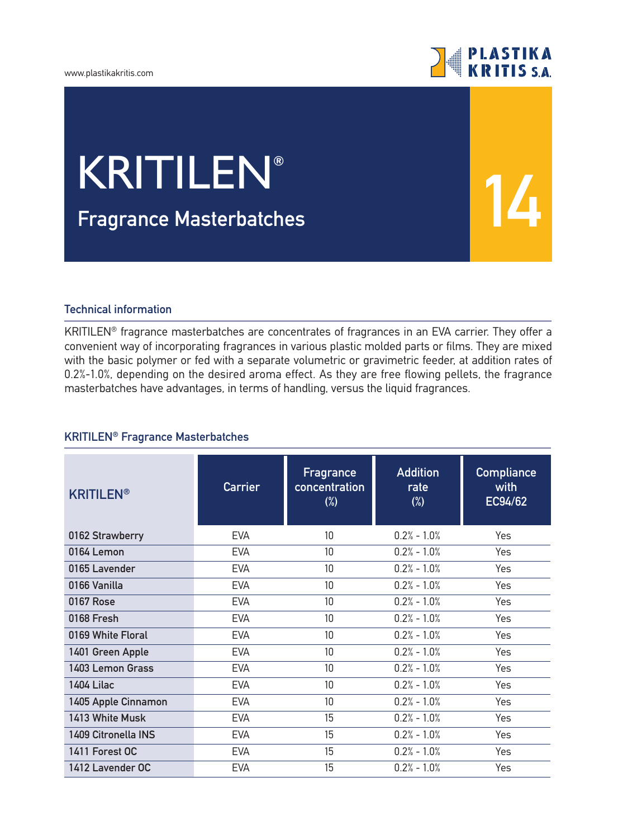#### www.plastikakritis.com



**14**

# **Fragrance Μasterbatches** KRITILEN**®**

### **Technical information**

KRITILEN® fragrance masterbatches are concentrates of fragrances in an EVA carrier. They offer a convenient way of incorporating fragrances in various plastic molded parts or films. They are mixed with the basic polymer or fed with a separate volumetric or gravimetric feeder, at addition rates of 0.2%-1.0%, depending on the desired aroma effect. As they are free flowing pellets, the fragrance masterbatches have advantages, in terms of handling, versus the liquid fragrances.

### **KRITILEN® Fragrance Masterbatches**

| <b>KRITILEN®</b>    | <b>Carrier</b> | Fragrance<br>concentration<br>$(\%)$ | <b>Addition</b><br>rate<br>$(\%)$ | <b>Compliance</b><br>with<br>EC94/62 |
|---------------------|----------------|--------------------------------------|-----------------------------------|--------------------------------------|
| 0162 Strawberry     | <b>EVA</b>     | 10                                   | $0.2% - 1.0%$                     | Yes                                  |
| 0164 Lemon          | <b>EVA</b>     | 10                                   | $0.2% - 1.0%$                     | Yes                                  |
| 0165 Lavender       | <b>EVA</b>     | 10                                   | $0.2% - 1.0%$                     | Yes                                  |
| 0166 Vanilla        | <b>EVA</b>     | 10                                   | $0.2% - 1.0%$                     | Yes                                  |
| 0167 Rose           | <b>EVA</b>     | 10                                   | $0.2% - 1.0%$                     | Yes                                  |
| 0168 Fresh          | <b>EVA</b>     | 10                                   | $0.2% - 1.0%$                     | Yes                                  |
| 0169 White Floral   | <b>EVA</b>     | 10                                   | $0.2% - 1.0%$                     | <b>Yes</b>                           |
| 1401 Green Apple    | <b>EVA</b>     | 10                                   | $0.2% - 1.0%$                     | Yes                                  |
| 1403 Lemon Grass    | <b>EVA</b>     | 10 <sup>°</sup>                      | $0.2% - 1.0%$                     | Yes                                  |
| <b>1404 Lilac</b>   | <b>EVA</b>     | 10 <sup>°</sup>                      | $0.2% - 1.0%$                     | Yes                                  |
| 1405 Apple Cinnamon | <b>EVA</b>     | 10                                   | $0.2% - 1.0%$                     | Yes                                  |
| 1413 White Musk     | <b>EVA</b>     | 15                                   | $0.2% - 1.0%$                     | Yes                                  |
| 1409 Citronella INS | <b>EVA</b>     | 15                                   | $0.2% - 1.0%$                     | Yes                                  |
| 1411 Forest OC      | <b>EVA</b>     | 15                                   | $0.2% - 1.0%$                     | Yes                                  |
| 1412 Lavender OC    | <b>EVA</b>     | 15                                   | $0.2% - 1.0%$                     | Yes                                  |